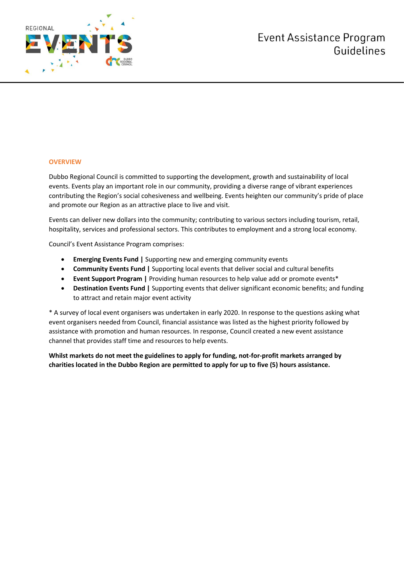

# **OVERVIEW**

Dubbo Regional Council is committed to supporting the development, growth and sustainability of local events. Events play an important role in our community, providing a diverse range of vibrant experiences contributing the Region's social cohesiveness and wellbeing. Events heighten our community's pride of place and promote our Region as an attractive place to live and visit.

Events can deliver new dollars into the community; contributing to various sectors including tourism, retail, hospitality, services and professional sectors. This contributes to employment and a strong local economy.

Council's Event Assistance Program comprises:

- **Emerging Events Fund |** Supporting new and emerging community events
- **Community Events Fund |** Supporting local events that deliver social and cultural benefits
- **Event Support Program |** Providing human resources to help value add or promote events\*
- **Destination Events Fund |** Supporting events that deliver significant economic benefits; and funding to attract and retain major event activity

\* A survey of local event organisers was undertaken in early 2020. In response to the questions asking what event organisers needed from Council, financial assistance was listed as the highest priority followed by assistance with promotion and human resources. In response, Council created a new event assistance channel that provides staff time and resources to help events.

**Whilst markets do not meet the guidelines to apply for funding, not-for-profit markets arranged by charities located in the Dubbo Region are permitted to apply for up to five (5) hours assistance.**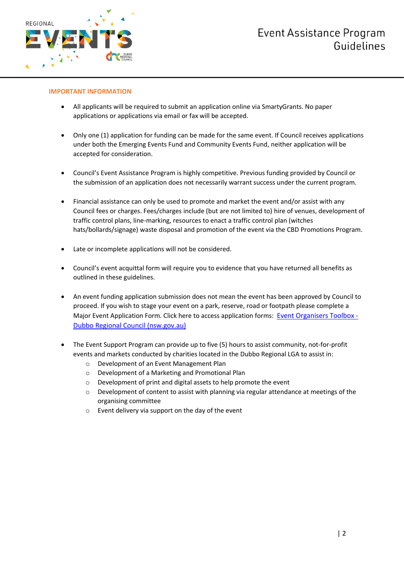

# **IMPORTANT INFORMATION**

- All applicants will be required to submit an application online via SmartyGrants. No paper applications or applications via email or fax will be accepted.
- Only one (1) application for funding can be made for the same event. If Council receives applications under both the Emerging Events Fund and Community Events Fund, neither application will be accepted for consideration.
- Council's Event Assistance Program is highly competitive. Previous funding provided by Council or the submission of an application does not necessarily warrant success under the current program.
- Financial assistance can only be used to promote and market the event and/or assist with any Council fees or charges. Fees/charges include (but are not limited to) hire of venues, development of traffic control plans, line-marking, resources to enact a traffic control plan (witches hats/bollards/signage) waste disposal and promotion of the event via the CBD Promotions Program.
- Late or incomplete applications will not be considered.
- Council's event acquittal form will require you to evidence that you have returned all benefits as outlined in these guidelines.
- An event funding application submission does not mean the event has been approved by Council to proceed. If you wish to stage your event on a park, reserve, road or footpath please complete a Major Event Application Form. Click here to access application forms: [Event Organisers Toolbox -](https://www.dubbo.nsw.gov.au/Visitors-Events/Events-Hub/event-organisers-toolbox) [Dubbo Regional Council \(nsw.gov.au\)](https://www.dubbo.nsw.gov.au/Visitors-Events/Events-Hub/event-organisers-toolbox)
- The Event Support Program can provide up to five (5) hours to assist community, not-for-profit events and markets conducted by charities located in the Dubbo Regional LGA to assist in:
	- o Development of an Event Management Plan
	- o Development of a Marketing and Promotional Plan
	- o Development of print and digital assets to help promote the event
	- $\circ$  Development of content to assist with planning via regular attendance at meetings of the organising committee
	- o Event delivery via support on the day of the event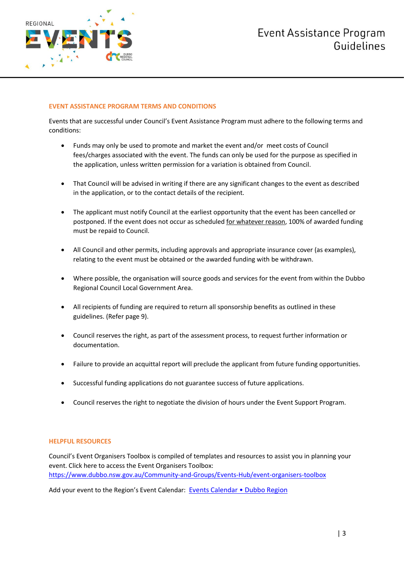

# **EVENT ASSISTANCE PROGRAM TERMS AND CONDITIONS**

Events that are successful under Council's Event Assistance Program must adhere to the following terms and conditions:

- Funds may only be used to promote and market the event and/or meet costs of Council fees/charges associated with the event. The funds can only be used for the purpose as specified in the application, unless written permission for a variation is obtained from Council.
- That Council will be advised in writing if there are any significant changes to the event as described in the application, or to the contact details of the recipient.
- The applicant must notify Council at the earliest opportunity that the event has been cancelled or postponed. If the event does not occur as scheduled for whatever reason, 100% of awarded funding must be repaid to Council.
- All Council and other permits, including approvals and appropriate insurance cover (as examples), relating to the event must be obtained or the awarded funding with be withdrawn.
- Where possible, the organisation will source goods and services for the event from within the Dubbo Regional Council Local Government Area.
- All recipients of funding are required to return all sponsorship benefits as outlined in these guidelines. (Refer page 9).
- Council reserves the right, as part of the assessment process, to request further information or documentation.
- Failure to provide an acquittal report will preclude the applicant from future funding opportunities.
- Successful funding applications do not guarantee success of future applications.
- Council reserves the right to negotiate the division of hours under the Event Support Program.

# **HELPFUL RESOURCES**

Council's Event Organisers Toolbox is compiled of templates and resources to assist you in planning your event. Click here to access the Event Organisers Toolbox: <https://www.dubbo.nsw.gov.au/Community-and-Groups/Events-Hub/event-organisers-toolbox>

Add your event to the Region's Event Calendar: Events Calendar . Dubbo Region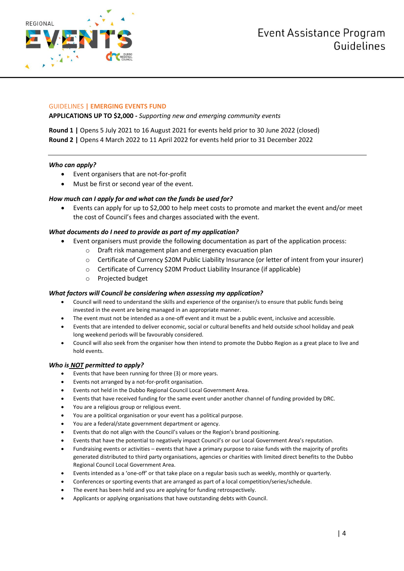

# GUIDELINES **| EMERGING EVENTS FUND**

**APPLICATIONS UP TO \$2,000 -** *Supporting new and emerging community events*

**Round 1 |** Opens 5 July 2021 to 16 August 2021 for events held prior to 30 June 2022 (closed) **Round 2 |** Opens 4 March 2022 to 11 April 2022 for events held prior to 31 December 2022

# *Who can apply?*

- Event organisers that are not-for-profit
- Must be first or second year of the event.

# *How much can I apply for and what can the funds be used for?*

 Events can apply for up to \$2,000 to help meet costs to promote and market the event and/or meet the cost of Council's fees and charges associated with the event.

# *What documents do I need to provide as part of my application?*

- Event organisers must provide the following documentation as part of the application process:
	- o Draft risk management plan and emergency evacuation plan
	- o Certificate of Currency \$20M Public Liability Insurance (or letter of intent from your insurer)
	- o Certificate of Currency \$20M Product Liability Insurance (if applicable)
	- o Projected budget

# *What factors will Council be considering when assessing my application?*

- Council will need to understand the skills and experience of the organiser/s to ensure that public funds being invested in the event are being managed in an appropriate manner.
- The event must not be intended as a one-off event and it must be a public event, inclusive and accessible.
- Events that are intended to deliver economic, social or cultural benefits and held outside school holiday and peak long weekend periods will be favourably considered.
- Council will also seek from the organiser how then intend to promote the Dubbo Region as a great place to live and hold events.

- Events that have been running for three (3) or more years.
- Events not arranged by a not-for-profit organisation.
- Events not held in the Dubbo Regional Council Local Government Area.
- Events that have received funding for the same event under another channel of funding provided by DRC.
- You are a religious group or religious event.
- You are a political organisation or your event has a political purpose.
- You are a federal/state government department or agency.
- Events that do not align with the Council's values or the Region's brand positioning.
- Events that have the potential to negatively impact Council's or our Local Government Area's reputation.
- Fundraising events or activities events that have a primary purpose to raise funds with the majority of profits generated distributed to third party organisations, agencies or charities with limited direct benefits to the Dubbo Regional Council Local Government Area.
- Events intended as a 'one-off' or that take place on a regular basis such as weekly, monthly or quarterly.
- Conferences or sporting events that are arranged as part of a local competition/series/schedule.
- The event has been held and you are applying for funding retrospectively.
- Applicants or applying organisations that have outstanding debts with Council.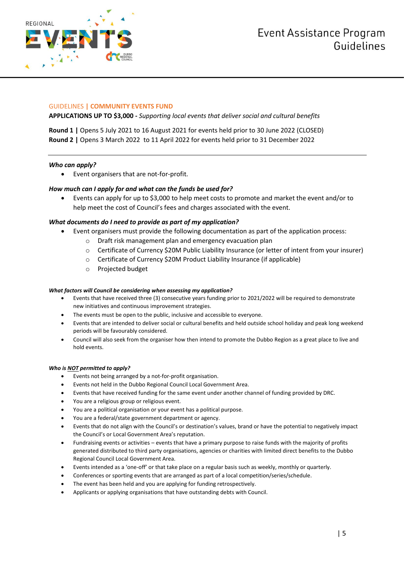

# GUIDELINES **| COMMUNITY EVENTS FUND**

**APPLICATIONS UP TO \$3,000 -** *Supporting local events that deliver social and cultural benefits*

**Round 1 |** Opens 5 July 2021 to 16 August 2021 for events held prior to 30 June 2022 (CLOSED) **Round 2 |** Opens 3 March 2022 to 11 April 2022 for events held prior to 31 December 2022

# *Who can apply?*

Event organisers that are not-for-profit.

# *How much can I apply for and what can the funds be used for?*

 Events can apply for up to \$3,000 to help meet costs to promote and market the event and/or to help meet the cost of Council's fees and charges associated with the event.

# *What documents do I need to provide as part of my application?*

- Event organisers must provide the following documentation as part of the application process:
	- o Draft risk management plan and emergency evacuation plan
	- o Certificate of Currency \$20M Public Liability Insurance (or letter of intent from your insurer)
	- o Certificate of Currency \$20M Product Liability Insurance (if applicable)
	- o Projected budget

# *What factors will Council be considering when assessing my application?*

- Events that have received three (3) consecutive years funding prior to 2021/2022 will be required to demonstrate new initiatives and continuous improvement strategies.
- The events must be open to the public, inclusive and accessible to everyone.
- Events that are intended to deliver social or cultural benefits and held outside school holiday and peak long weekend periods will be favourably considered.
- Council will also seek from the organiser how then intend to promote the Dubbo Region as a great place to live and hold events.

- Events not being arranged by a not-for-profit organisation.
- Events not held in the Dubbo Regional Council Local Government Area.
- Events that have received funding for the same event under another channel of funding provided by DRC.
- You are a religious group or religious event.
- You are a political organisation or your event has a political purpose.
- You are a federal/state government department or agency.
- Events that do not align with the Council's or destination's values, brand or have the potential to negatively impact the Council's or Local Government Area's reputation.
- Fundraising events or activities events that have a primary purpose to raise funds with the majority of profits generated distributed to third party organisations, agencies or charities with limited direct benefits to the Dubbo Regional Council Local Government Area.
- Events intended as a 'one-off' or that take place on a regular basis such as weekly, monthly or quarterly.
- Conferences or sporting events that are arranged as part of a local competition/series/schedule.
- The event has been held and you are applying for funding retrospectively.
- Applicants or applying organisations that have outstanding debts with Council.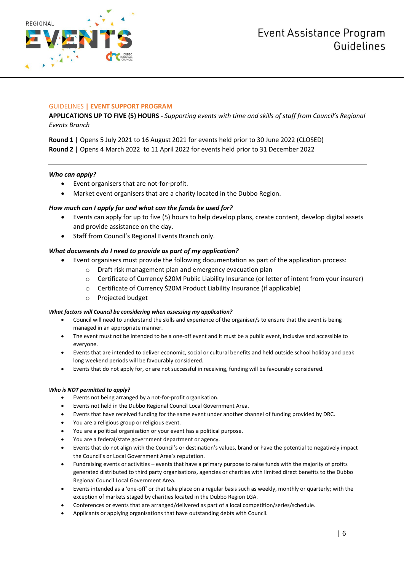



# GUIDELINES **| EVENT SUPPORT PROGRAM**

**APPLICATIONS UP TO FIVE (5) HOURS -** *Supporting events with time and skills of staff from Council's Regional Events Branch*

**Round 1 |** Opens 5 July 2021 to 16 August 2021 for events held prior to 30 June 2022 (CLOSED) **Round 2 |** Opens 4 March 2022 to 11 April 2022 for events held prior to 31 December 2022

# *Who can apply?*

- Event organisers that are not-for-profit.
- Market event organisers that are a charity located in the Dubbo Region.

# *How much can I apply for and what can the funds be used for?*

- Events can apply for up to five (5) hours to help develop plans, create content, develop digital assets and provide assistance on the day.
- Staff from Council's Regional Events Branch only.

# *What documents do I need to provide as part of my application?*

- Event organisers must provide the following documentation as part of the application process:
	- o Draft risk management plan and emergency evacuation plan
	- o Certificate of Currency \$20M Public Liability Insurance (or letter of intent from your insurer)
	- o Certificate of Currency \$20M Product Liability Insurance (if applicable)
	- o Projected budget

# *What factors will Council be considering when assessing my application?*

- Council will need to understand the skills and experience of the organiser/s to ensure that the event is being managed in an appropriate manner.
- The event must not be intended to be a one-off event and it must be a public event, inclusive and accessible to everyone.
- Events that are intended to deliver economic, social or cultural benefits and held outside school holiday and peak long weekend periods will be favourably considered.
- Events that do not apply for, or are not successful in receiving, funding will be favourably considered.

- Events not being arranged by a not-for-profit organisation.
- Events not held in the Dubbo Regional Council Local Government Area.
- Events that have received funding for the same event under another channel of funding provided by DRC.
- You are a religious group or religious event.
- You are a political organisation or your event has a political purpose.
- You are a federal/state government department or agency.
- Events that do not align with the Council's or destination's values, brand or have the potential to negatively impact the Council's or Local Government Area's reputation.
- Fundraising events or activities events that have a primary purpose to raise funds with the majority of profits generated distributed to third party organisations, agencies or charities with limited direct benefits to the Dubbo Regional Council Local Government Area.
- Events intended as a 'one-off' or that take place on a regular basis such as weekly, monthly or quarterly; with the exception of markets staged by charities located in the Dubbo Region LGA.
- Conferences or events that are arranged/delivered as part of a local competition/series/schedule.
- Applicants or applying organisations that have outstanding debts with Council.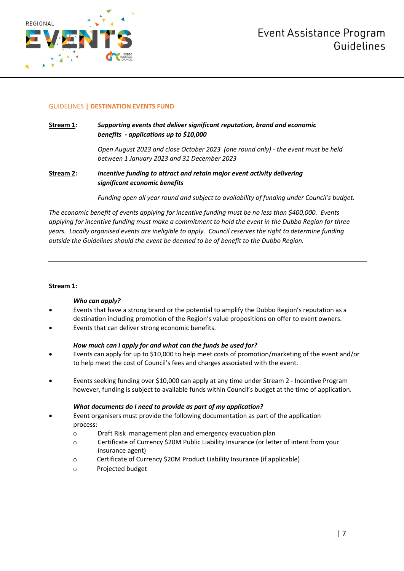

# GUIDELINES **| DESTINATION EVENTS FUND**

**Stream 1***: Supporting events that deliver significant reputation, brand and economic benefits - applications up to \$10,000*

> *Open August 2023 and close October 2023 (one round only) - the event must be held between 1 January 2023 and 31 December 2023*

**Stream 2***: Incentive funding to attract and retain major event activity delivering significant economic benefits* 

*Funding open all year round and subject to availability of funding under Council's budget.*

*The economic benefit of events applying for incentive funding must be no less than \$400,000. Events applying for incentive funding must make a commitment to hold the event in the Dubbo Region for three years. Locally organised events are ineligible to apply. Council reserves the right to determine funding outside the Guidelines should the event be deemed to be of benefit to the Dubbo Region.*

# **Stream 1:**

# *Who can apply?*

- Events that have a strong brand or the potential to amplify the Dubbo Region's reputation as a destination including promotion of the Region's value propositions on offer to event owners.
- Events that can deliver strong economic benefits.

# *How much can I apply for and what can the funds be used for?*

- Events can apply for up to \$10,000 to help meet costs of promotion/marketing of the event and/or to help meet the cost of Council's fees and charges associated with the event.
- Events seeking funding over \$10,000 can apply at any time under Stream 2 Incentive Program however, funding is subject to available funds within Council's budget at the time of application.

# *What documents do I need to provide as part of my application?*

- Event organisers must provide the following documentation as part of the application process:
	- o Draft Risk management plan and emergency evacuation plan
	- o Certificate of Currency \$20M Public Liability Insurance (or letter of intent from your insurance agent)
	- o Certificate of Currency \$20M Product Liability Insurance (if applicable)
	- o Projected budget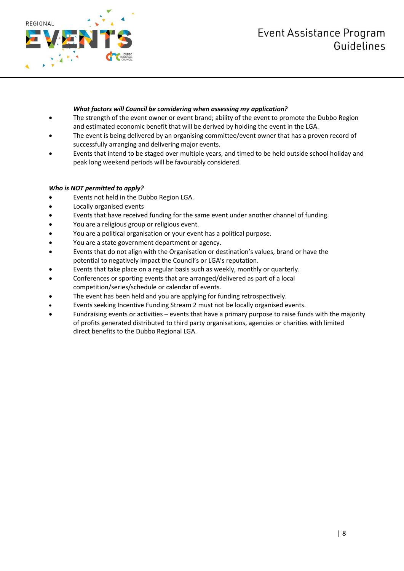# **Event Assistance Program** Guidelines



# *What factors will Council be considering when assessing my application?*

- The strength of the event owner or event brand; ability of the event to promote the Dubbo Region and estimated economic benefit that will be derived by holding the event in the LGA.
- The event is being delivered by an organising committee/event owner that has a proven record of successfully arranging and delivering major events.
- Events that intend to be staged over multiple years, and timed to be held outside school holiday and peak long weekend periods will be favourably considered.

- Events not held in the Dubbo Region LGA.
- Locally organised events
- Events that have received funding for the same event under another channel of funding.
- You are a religious group or religious event.
- You are a political organisation or your event has a political purpose.
- You are a state government department or agency.
- Events that do not align with the Organisation or destination's values, brand or have the potential to negatively impact the Council's or LGA's reputation.
- Events that take place on a regular basis such as weekly, monthly or quarterly.
- Conferences or sporting events that are arranged/delivered as part of a local competition/series/schedule or calendar of events.
- The event has been held and you are applying for funding retrospectively.
- Events seeking Incentive Funding Stream 2 must not be locally organised events.
- Fundraising events or activities events that have a primary purpose to raise funds with the majority of profits generated distributed to third party organisations, agencies or charities with limited direct benefits to the Dubbo Regional LGA.